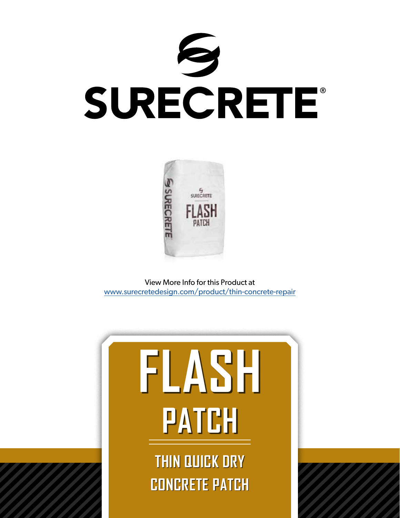



View More Info for this Product at [www.surecretedesign.com/product/thin-concrete-repair](https://www.surecretedesign.com/product/thin-concrete-repair/)



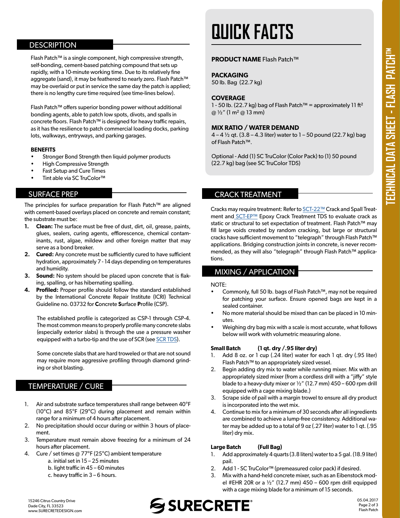## **DESCRIPTION**

Flash Patch™ is a single component, high compressive strength, self-bonding, cement-based patching compound that sets up rapidly, with a 10-minute working time. Due to its relatively fine aggregate (sand), it may be feathered to nearly zero. Flash Patch™ may be overlaid or put in service the same day the patch is applied; there is no lengthy cure time required (see time-lines below).

Flash Patch™ offers superior bonding power without additional bonding agents, able to patch low spots, divots, and spalls in concrete floors. Flash Patch™ is designed for heavy traffic repairs, as it has the resilience to patch commercial loading docks, parking lots, walkways, entryways, and parking garages.

#### **BENEFITS**

- Stronger Bond Strength then liquid polymer products
- High Compressive Strength
- Fast Setup and Cure Times
- Tint able via SC TruColor<sup>™</sup>

## SURFACE PREP

The principles for surface preparation for Flash Patch™ are aligned with cement-based overlays placed on concrete and remain constant; the substrate must be:

- **1. Clean:** The surface must be free of dust, dirt, oil, grease, paints, glues, sealers, curing agents, efflorescence, chemical contaminants, rust, algae, mildew and other foreign matter that may serve as a bond breaker.
- **2. Cured:** Any concrete must be sufficiently cured to have sufficient hydration, approximately 7 - 14 days depending on temperatures and humidity.
- **3. Sound:** No system should be placed upon concrete that is flaking, spalling, or has hibernating spalling.
- **4. Profiled:** Proper profile should follow the standard established by the International Concrete Repair Institute (ICRI) Technical Guideline no. 03732 for **C**oncrete **S**urface **P**rofile (CSP).

The established profile is categorized as CSP-1 through CSP-4. The most common means to properly profile many concrete slabs (especially exterior slabs) is through the use a pressure washer equipped with a turbo-tip and the use of SCR (see [SCR TDS\)](https://www.surecretedesign.com/tds/surface-prep-scr-tds.pdf).

Some concrete slabs that are hard troweled or that are not sound may require more aggressive profiling through diamond grinding or shot blasting.

## TEMPERATURE / CURE

- 1. Air and substrate surface temperatures shall range between 40°F (10°C) and 85°F (29°C) during placement and remain within range for a minimum of 4 hours after placement.
- 2. No precipitation should occur during or within 3 hours of placement.
- 3. Temperature must remain above freezing for a minimum of 24 hours after placement.
- 4. Cure / set times @ 77°F (25°C) ambient temperature
	- a. initial set in  $15 25$  minutes
	- b. light traffic in 45 60 minutes
	- c. heavy traffic in 3 6 hours.

# **QUICK FACTS**

#### **PRODUCT NAME** Flash Patch™

## **PACKAGING**

50 lb. Bag (22.7 kg)

#### **COVERAGE**

1 - 50 lb. (22.7 kg) bag of Flash Patch™ = approximately 11 ft²  $@V_2"$  (1 m<sup>2</sup>  $@$  13 mm)

#### **MIX RATIO / WATER DEMAND**

 $4 - 4$   $\frac{1}{2}$  gt. (3.8 – 4.3 liter) water to 1 – 50 pound (22.7 kg) bag of Flash Patch™.

Optional - Add (1) SC TruColor (Color Pack) to (1) 50 pound (22.7 kg) bag (see SC TruColor TDS)

## CRACK TREATMENT

Cracks may require treatment: Refer to [SCT-22](https://www.surecretedesign.com/tds/surface-prep-sct-22-tds.pdf)™ Crack and Spall Treatment and **SCT-EP™** Epoxy Crack Treatment TDS to evaluate crack as static or structural to set expectation of treatment. Flash Patch™ may fill large voids created by random cracking, but large or structural cracks have sufficient movement to "telegraph" through Flash Patch™ applications. Bridging construction joints in concrete, is never recommended, as they will also "telegraph" through Flash Patch™ applications.

## MIXING / APPLICATION

#### NOTE:

- Commonly, full 50 lb. bags of Flash Patch™, may not be required for patching your surface. Ensure opened bags are kept in a sealed container.
- No more material should be mixed than can be placed in 10 minutes.
- Weighing dry bag mix with a scale is most accurate, what follows below will work with volumetric measuring alone.

#### **Small Batch (1 qt. dry /.95 liter dry)**

- 1. Add 8 oz. or 1 cup (.24 liter) water for each 1 qt. dry (.95 liter) Flash Patch™ to an appropriately sized vessel.
- 2. Begin adding dry mix to water while running mixer. Mix with an appropriately sized mixer (from a cordless drill with a "jiffy" style blade to a heavy-duty mixer or  $\frac{1}{2}$ " (12.7 mm) 450 – 600 rpm drill equipped with a cage mixing blade.)
- 3. Scrape side of pail with a margin trowel to ensure all dry product is incorporated into the wet mix.
- 4. Continue to mix for a minimum of 30 seconds after all ingredients are combined to achieve a lump-free consistency. Additional water may be added up to a total of 9 oz (.27 liter) water to 1 qt. (.95 liter) dry mix.

#### **Large Batch (Full Bag)**

- 1. Add approximately 4 quarts (3.8 liters) water to a 5 gal. (18.9 liter) pail.
- 2. Add 1 SC TruColor™ (premeasured color pack) if desired.
- 3. Mix with a hand-held concrete mixer, such as an Eibenstock model #EHR 20R or a  $\frac{1}{2}$ " (12.7 mm) 450 – 600 rpm drill equipped with a cage mixing blade for a minimum of 15 seconds.